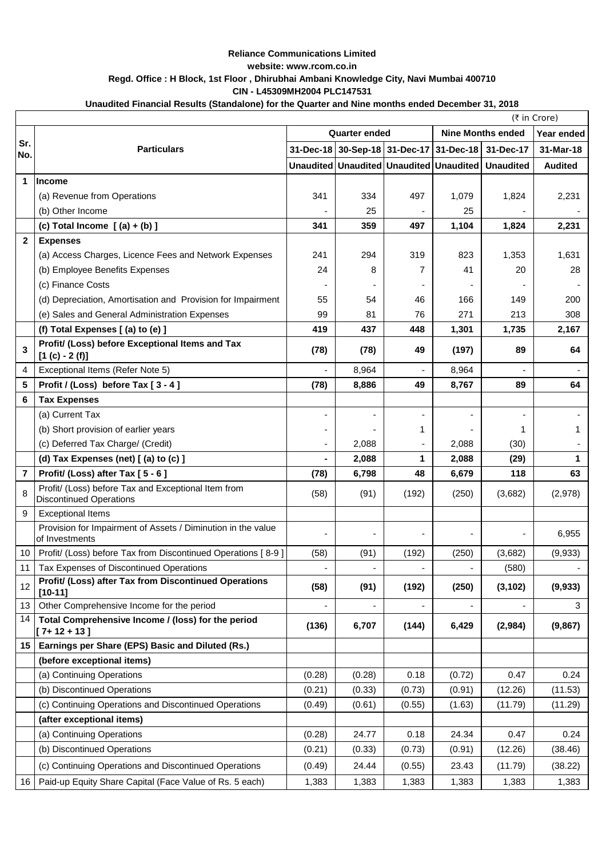|                  | (₹ in Crore)                                                                          |                      |                                         |        |                          |                                                   |                |
|------------------|---------------------------------------------------------------------------------------|----------------------|-----------------------------------------|--------|--------------------------|---------------------------------------------------|----------------|
|                  | <b>Particulars</b>                                                                    | <b>Quarter ended</b> |                                         |        | <b>Nine Months ended</b> |                                                   | Year ended     |
| Sr.<br>No.       |                                                                                       |                      |                                         |        |                          | 31-Dec-18 30-Sep-18 31-Dec-17 31-Dec-18 31-Dec-17 | 31-Mar-18      |
|                  |                                                                                       |                      | Unaudited Unaudited Unaudited Unaudited |        |                          | <b>Unaudited</b>                                  | <b>Audited</b> |
| 1                | <b>Income</b>                                                                         |                      |                                         |        |                          |                                                   |                |
|                  | (a) Revenue from Operations                                                           | 341                  | 334                                     | 497    | 1,079                    | 1,824                                             | 2,231          |
|                  | (b) Other Income                                                                      |                      | 25                                      |        | 25                       |                                                   |                |
|                  | (c) Total Income $(a) + (b)$ ]                                                        | 341                  | 359                                     | 497    | 1,104                    | 1,824                                             | 2,231          |
| $\boldsymbol{2}$ | <b>Expenses</b>                                                                       |                      |                                         |        |                          |                                                   |                |
|                  | (a) Access Charges, Licence Fees and Network Expenses                                 | 241                  | 294                                     | 319    | 823                      | 1,353                                             | 1,631          |
|                  | (b) Employee Benefits Expenses                                                        | 24                   | 8                                       | 7      | 41                       | 20                                                | 28             |
|                  | (c) Finance Costs                                                                     |                      |                                         |        |                          |                                                   |                |
|                  | (d) Depreciation, Amortisation and Provision for Impairment                           | 55                   | 54                                      | 46     | 166                      | 149                                               | 200            |
|                  | (e) Sales and General Administration Expenses                                         | 99                   | 81                                      | 76     | 271                      | 213                                               | 308            |
|                  | (f) Total Expenses [(a) to (e) ]                                                      | 419                  | 437                                     | 448    | 1,301                    | 1,735                                             | 2,167          |
| $\overline{3}$   | Profit/ (Loss) before Exceptional Items and Tax<br>$[1 (c) - 2 (f)]$                  | (78)                 | (78)                                    | 49     | (197)                    | 89                                                | 64             |
| 4                | Exceptional Items (Refer Note 5)                                                      |                      | 8,964                                   |        | 8,964                    |                                                   |                |
| 5                | Profit / (Loss) before Tax [3 - 4]                                                    | (78)                 | 8,886                                   | 49     | 8,767                    | 89                                                | 64             |
| $6\phantom{1}6$  | <b>Tax Expenses</b>                                                                   |                      |                                         |        |                          |                                                   |                |
|                  | (a) Current Tax                                                                       |                      |                                         |        |                          |                                                   |                |
|                  | (b) Short provision of earlier years                                                  |                      |                                         |        |                          | 1                                                 |                |
|                  | (c) Deferred Tax Charge/ (Credit)                                                     |                      | 2,088                                   |        | 2,088                    | (30)                                              |                |
|                  | (d) Tax Expenses (net) [ (a) to (c) ]                                                 |                      | 2,088                                   | 1      | 2,088                    | (29)                                              |                |
| 7                | Profit/ (Loss) after Tax [5 - 6]                                                      | (78)                 | 6,798                                   | 48     | 6,679                    | 118                                               | 63             |
| 8                | Profit/ (Loss) before Tax and Exceptional Item from<br><b>Discontinued Operations</b> | (58)                 | (91)                                    | (192)  | (250)                    | (3,682)                                           | (2,978)        |
| 9                | <b>Exceptional Items</b>                                                              |                      |                                         |        |                          |                                                   |                |
|                  | Provision for Impairment of Assets / Diminution in the value<br>of Investments        |                      |                                         |        |                          |                                                   | 6,955          |
| 10               | Profit/ (Loss) before Tax from Discontinued Operations [8-9]                          | (58)                 | (91)                                    | (192)  | (250)                    | (3,682)                                           | (9,933)        |
| 11               | Tax Expenses of Discontinued Operations                                               |                      |                                         |        |                          | (580)                                             |                |
| 12               | Profit/ (Loss) after Tax from Discontinued Operations<br>$[10-11]$                    | (58)                 | (91)                                    | (192)  | (250)                    | (3, 102)                                          | (9, 933)       |
| 13               | Other Comprehensive Income for the period                                             |                      |                                         |        |                          |                                                   | 3              |
| 14               | Total Comprehensive Income / (loss) for the period<br>$[7+12+13]$                     | (136)                | 6,707                                   | (144)  | 6,429                    | (2,984)                                           | (9,867)        |
| 15               | Earnings per Share (EPS) Basic and Diluted (Rs.)                                      |                      |                                         |        |                          |                                                   |                |
|                  | (before exceptional items)                                                            |                      |                                         |        |                          |                                                   |                |
|                  | (a) Continuing Operations                                                             | (0.28)               | (0.28)                                  | 0.18   | (0.72)                   | 0.47                                              | 0.24           |
|                  | (b) Discontinued Operations                                                           | (0.21)               | (0.33)                                  | (0.73) | (0.91)                   | (12.26)                                           | (11.53)        |
|                  | (c) Continuing Operations and Discontinued Operations                                 | (0.49)               | (0.61)                                  | (0.55) | (1.63)                   | (11.79)                                           | (11.29)        |
|                  | (after exceptional items)                                                             |                      |                                         |        |                          |                                                   |                |
|                  | (a) Continuing Operations                                                             | (0.28)               | 24.77                                   | 0.18   | 24.34                    | 0.47                                              | 0.24           |
|                  | (b) Discontinued Operations                                                           | (0.21)               | (0.33)                                  | (0.73) | (0.91)                   | (12.26)                                           | (38.46)        |
|                  | (c) Continuing Operations and Discontinued Operations                                 | (0.49)               | 24.44                                   | (0.55) | 23.43                    | (11.79)                                           | (38.22)        |
|                  | 16   Paid-up Equity Share Capital (Face Value of Rs. 5 each)                          | 1,383                | 1,383                                   | 1,383  | 1,383                    | 1,383                                             | 1,383          |

## **Reliance Communications Limited website: www.rcom.co.in Regd. Office : H Block, 1st Floor , Dhirubhai Ambani Knowledge City, Navi Mumbai 400710 CIN - L45309MH2004 PLC147531**

## **Unaudited Financial Results (Standalone) for the Quarter and Nine months ended December 31, 2018**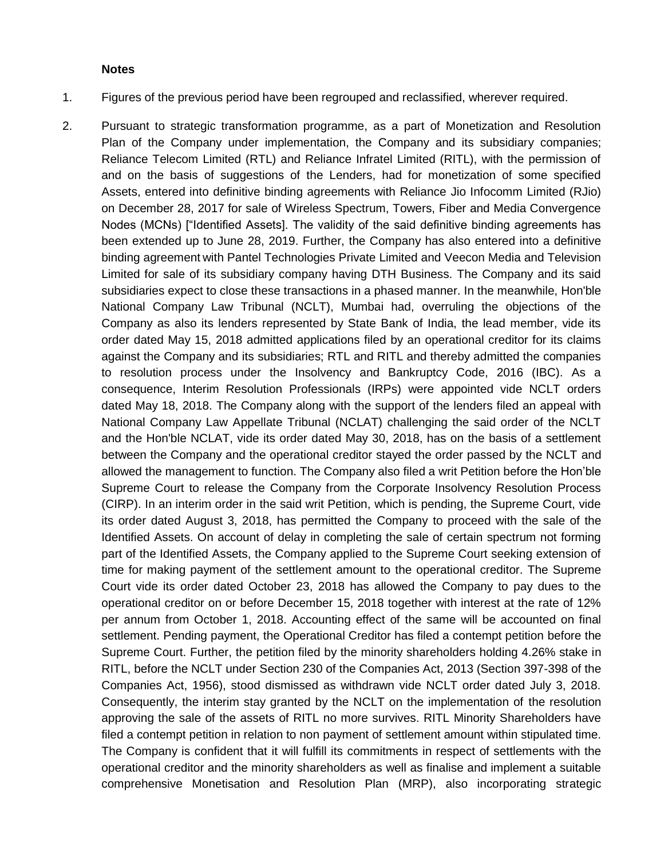## **Notes**

- 1. Figures of the previous period have been regrouped and reclassified, wherever required.
- 2. Pursuant to strategic transformation programme, as a part of Monetization and Resolution Plan of the Company under implementation, the Company and its subsidiary companies; Reliance Telecom Limited (RTL) and Reliance Infratel Limited (RITL), with the permission of and on the basis of suggestions of the Lenders, had for monetization of some specified Assets, entered into definitive binding agreements with Reliance Jio Infocomm Limited (RJio) on December 28, 2017 for sale of Wireless Spectrum, Towers, Fiber and Media Convergence Nodes (MCNs) ["Identified Assets]. The validity of the said definitive binding agreements has been extended up to June 28, 2019. Further, the Company has also entered into a definitive binding agreement with Pantel Technologies Private Limited and Veecon Media and Television Limited for sale of its subsidiary company having DTH Business. The Company and its said subsidiaries expect to close these transactions in a phased manner. In the meanwhile, Hon'ble National Company Law Tribunal (NCLT), Mumbai had, overruling the objections of the Company as also its lenders represented by State Bank of India, the lead member, vide its order dated May 15, 2018 admitted applications filed by an operational creditor for its claims against the Company and its subsidiaries; RTL and RITL and thereby admitted the companies to resolution process under the Insolvency and Bankruptcy Code, 2016 (IBC). As a consequence, Interim Resolution Professionals (IRPs) were appointed vide NCLT orders dated May 18, 2018. The Company along with the support of the lenders filed an appeal with National Company Law Appellate Tribunal (NCLAT) challenging the said order of the NCLT and the Hon'ble NCLAT, vide its order dated May 30, 2018, has on the basis of a settlement between the Company and the operational creditor stayed the order passed by the NCLT and allowed the management to function. The Company also filed a writ Petition before the Hon'ble Supreme Court to release the Company from the Corporate Insolvency Resolution Process (CIRP). In an interim order in the said writ Petition, which is pending, the Supreme Court, vide its order dated August 3, 2018, has permitted the Company to proceed with the sale of the Identified Assets. On account of delay in completing the sale of certain spectrum not forming part of the Identified Assets, the Company applied to the Supreme Court seeking extension of time for making payment of the settlement amount to the operational creditor. The Supreme Court vide its order dated October 23, 2018 has allowed the Company to pay dues to the operational creditor on or before December 15, 2018 together with interest at the rate of 12% per annum from October 1, 2018. Accounting effect of the same will be accounted on final settlement. Pending payment, the Operational Creditor has filed a contempt petition before the Supreme Court. Further, the petition filed by the minority shareholders holding 4.26% stake in RITL, before the NCLT under Section 230 of the Companies Act, 2013 (Section 397-398 of the Companies Act, 1956), stood dismissed as withdrawn vide NCLT order dated July 3, 2018. Consequently, the interim stay granted by the NCLT on the implementation of the resolution approving the sale of the assets of RITL no more survives. RITL Minority Shareholders have filed a contempt petition in relation to non payment of settlement amount within stipulated time. The Company is confident that it will fulfill its commitments in respect of settlements with the operational creditor and the minority shareholders as well as finalise and implement a suitable comprehensive Monetisation and Resolution Plan (MRP), also incorporating strategic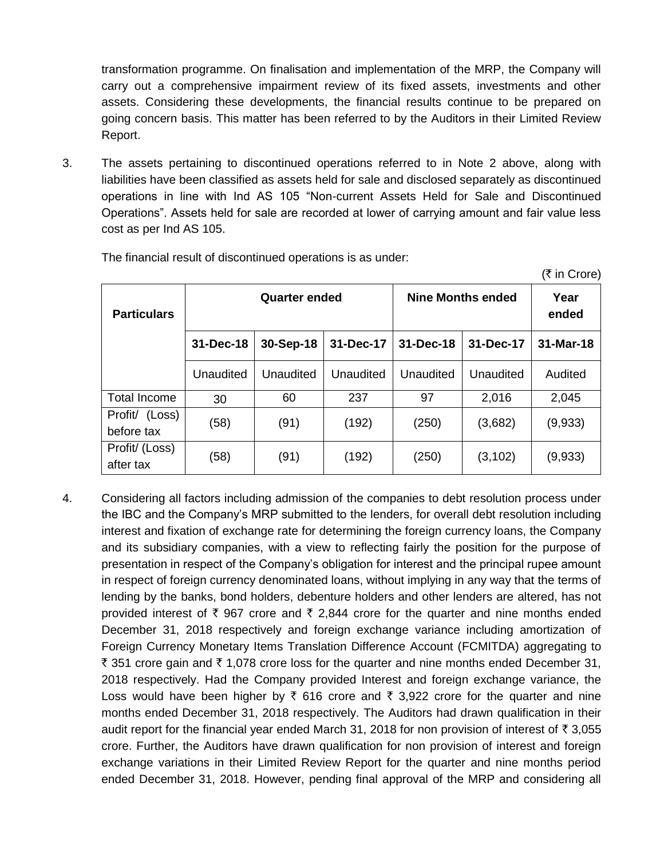transformation programme. On finalisation and implementation of the MRP, the Company will carry out a comprehensive impairment review of its fixed assets, investments and other assets. Considering these developments, the financial results continue to be prepared on going concern basis. This matter has been referred to by the Auditors in their Limited Review Report.

3. The assets pertaining to discontinued operations referred to in Note 2 above, along with liabilities have been classified as assets held for sale and disclosed separately as discontinued operations in line with Ind AS 105 "Non-current Assets Held for Sale and Discontinued Operations". Assets held for sale are recorded at lower of carrying amount and fair value less cost as per Ind AS 105.

| <b>Particulars</b>              | <b>Quarter ended</b> |           |           | Nine Months ended | Year<br>ended |           |
|---------------------------------|----------------------|-----------|-----------|-------------------|---------------|-----------|
|                                 | 31-Dec-18            | 30-Sep-18 | 31-Dec-17 | $31 - Dec - 18$   | 31-Dec-17     | 31-Mar-18 |
|                                 | Unaudited            | Unaudited | Unaudited | Unaudited         | Unaudited     | Audited   |
| Total Income                    | 30                   | 60        | 237       | 97                | 2,016         | 2,045     |
| Profit/<br>(Loss)<br>before tax | (58)                 | (91)      | (192)     | (250)             | (3,682)       | (9,933)   |
| Profit/ (Loss)<br>after tax     | (58)                 | (91)      | (192)     | (250)             | (3, 102)      | (9,933)   |

 $(\bar{\tau}$  in Crore)

The financial result of discontinued operations is as under:

4. Considering all factors including admission of the companies to debt resolution process under the IBC and the Company's MRP submitted to the lenders, for overall debt resolution including interest and fixation of exchange rate for determining the foreign currency loans, the Company and its subsidiary companies, with a view to reflecting fairly the position for the purpose of presentation in respect of the Company's obligation for interest and the principal rupee amount in respect of foreign currency denominated loans, without implying in any way that the terms of lending by the banks, bond holders, debenture holders and other lenders are altered, has not provided interest of  $\bar{\tau}$  967 crore and  $\bar{\tau}$  2,844 crore for the quarter and nine months ended December 31, 2018 respectively and foreign exchange variance including amortization of Foreign Currency Monetary Items Translation Difference Account (FCMITDA) aggregating to ₹ 351 crore gain and ₹ 1,078 crore loss for the quarter and nine months ended December 31, 2018 respectively. Had the Company provided Interest and foreign exchange variance, the Loss would have been higher by  $\bar{\tau}$  616 crore and  $\bar{\tau}$  3,922 crore for the quarter and nine months ended December 31, 2018 respectively. The Auditors had drawn qualification in their audit report for the financial year ended March 31, 2018 for non provision of interest of  $\bar{\tau}$  3,055 crore. Further, the Auditors have drawn qualification for non provision of interest and foreign exchange variations in their Limited Review Report for the quarter and nine months period ended December 31, 2018. However, pending final approval of the MRP and considering all